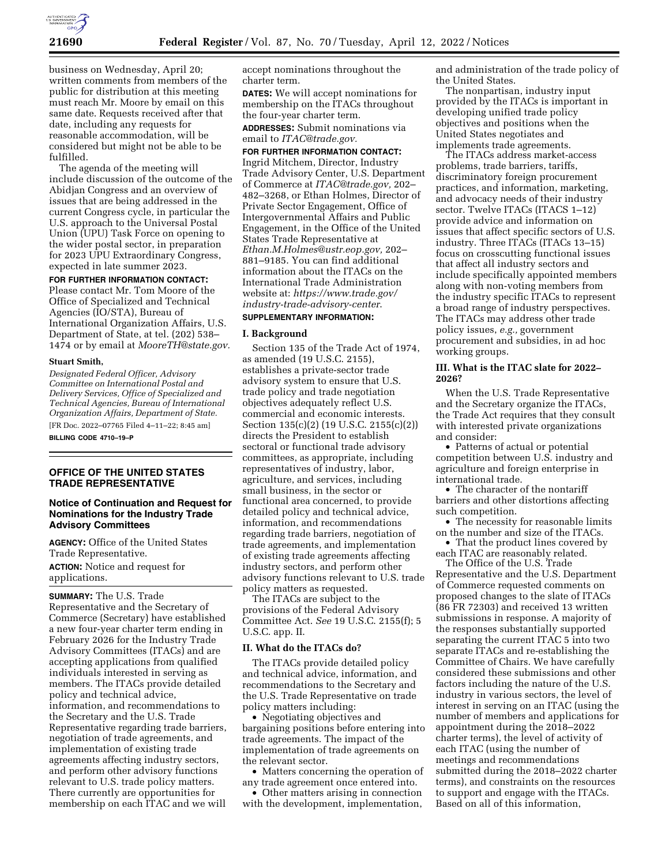

business on Wednesday, April 20; written comments from members of the public for distribution at this meeting must reach Mr. Moore by email on this same date. Requests received after that date, including any requests for reasonable accommodation, will be considered but might not be able to be fulfilled.

The agenda of the meeting will include discussion of the outcome of the Abidjan Congress and an overview of issues that are being addressed in the current Congress cycle, in particular the U.S. approach to the Universal Postal Union (UPU) Task Force on opening to the wider postal sector, in preparation for 2023 UPU Extraordinary Congress, expected in late summer 2023.

# **FOR FURTHER INFORMATION CONTACT:**

Please contact Mr. Tom Moore of the Office of Specialized and Technical Agencies (IO/STA), Bureau of International Organization Affairs, U.S. Department of State, at tel. (202) 538– 1474 or by email at *[MooreTH@state.gov.](mailto:MooreTH@state.gov)* 

#### **Stuart Smith,**

*Designated Federal Officer, Advisory Committee on International Postal and Delivery Services, Office of Specialized and Technical Agencies, Bureau of International Organization Affairs, Department of State.*  [FR Doc. 2022–07765 Filed 4–11–22; 8:45 am]

**BILLING CODE 4710–19–P** 

## **OFFICE OF THE UNITED STATES TRADE REPRESENTATIVE**

# **Notice of Continuation and Request for Nominations for the Industry Trade Advisory Committees**

**AGENCY:** Office of the United States Trade Representative.

**ACTION:** Notice and request for applications.

**SUMMARY:** The U.S. Trade Representative and the Secretary of Commerce (Secretary) have established a new four-year charter term ending in February 2026 for the Industry Trade Advisory Committees (ITACs) and are accepting applications from qualified individuals interested in serving as members. The ITACs provide detailed policy and technical advice, information, and recommendations to the Secretary and the U.S. Trade Representative regarding trade barriers, negotiation of trade agreements, and implementation of existing trade agreements affecting industry sectors, and perform other advisory functions relevant to U.S. trade policy matters. There currently are opportunities for membership on each ITAC and we will

accept nominations throughout the charter term.

**DATES:** We will accept nominations for membership on the ITACs throughout the four-year charter term.

**ADDRESSES:** Submit nominations via email to *[ITAC@trade.gov.](mailto:ITAC@trade.gov)* 

### **FOR FURTHER INFORMATION CONTACT:**

Ingrid Mitchem, Director, Industry Trade Advisory Center, U.S. Department of Commerce at *[ITAC@trade.gov,](mailto:ITAC@trade.gov)* 202– 482–3268, or Ethan Holmes, Director of Private Sector Engagement, Office of Intergovernmental Affairs and Public Engagement, in the Office of the United States Trade Representative at *[Ethan.M.Holmes@ustr.eop.gov,](mailto:Ethan.M.Holmes@ustr.eop.gov)* 202– 881–9185. You can find additional information about the ITACs on the International Trade Administration website at: *[https://www.trade.gov/](https://www.trade.gov/industry-trade-advisory-center)  [industry-trade-advisory-center](https://www.trade.gov/industry-trade-advisory-center)*.

# **SUPPLEMENTARY INFORMATION:**

#### **I. Background**

Section 135 of the Trade Act of 1974, as amended (19 U.S.C. 2155), establishes a private-sector trade advisory system to ensure that U.S. trade policy and trade negotiation objectives adequately reflect U.S. commercial and economic interests. Section 135(c)(2) (19 U.S.C. 2155(c)(2)) directs the President to establish sectoral or functional trade advisory committees, as appropriate, including representatives of industry, labor, agriculture, and services, including small business, in the sector or functional area concerned, to provide detailed policy and technical advice, information, and recommendations regarding trade barriers, negotiation of trade agreements, and implementation of existing trade agreements affecting industry sectors, and perform other advisory functions relevant to U.S. trade policy matters as requested.

The ITACs are subject to the provisions of the Federal Advisory Committee Act. *See* 19 U.S.C. 2155(f); 5 U.S.C. app. II.

#### **II. What do the ITACs do?**

The ITACs provide detailed policy and technical advice, information, and recommendations to the Secretary and the U.S. Trade Representative on trade policy matters including:

• Negotiating objectives and bargaining positions before entering into trade agreements. The impact of the implementation of trade agreements on the relevant sector.

• Matters concerning the operation of any trade agreement once entered into.

• Other matters arising in connection with the development, implementation, and administration of the trade policy of the United States.

The nonpartisan, industry input provided by the ITACs is important in developing unified trade policy objectives and positions when the United States negotiates and implements trade agreements.

The ITACs address market-access problems, trade barriers, tariffs, discriminatory foreign procurement practices, and information, marketing, and advocacy needs of their industry sector. Twelve ITACs (ITACS 1–12) provide advice and information on issues that affect specific sectors of U.S. industry. Three ITACs (ITACs 13–15) focus on crosscutting functional issues that affect all industry sectors and include specifically appointed members along with non-voting members from the industry specific ITACs to represent a broad range of industry perspectives. The ITACs may address other trade policy issues, *e.g.,* government procurement and subsidies, in ad hoc working groups.

## **III. What is the ITAC slate for 2022– 2026?**

When the U.S. Trade Representative and the Secretary organize the ITACs, the Trade Act requires that they consult with interested private organizations and consider:

• Patterns of actual or potential competition between U.S. industry and agriculture and foreign enterprise in international trade.

• The character of the nontariff barriers and other distortions affecting such competition.

• The necessity for reasonable limits on the number and size of the ITACs.

• That the product lines covered by each ITAC are reasonably related.

The Office of the U.S. Trade Representative and the U.S. Department of Commerce requested comments on proposed changes to the slate of ITACs (86 FR 72303) and received 13 written submissions in response. A majority of the responses substantially supported separating the current ITAC 5 into two separate ITACs and re-establishing the Committee of Chairs. We have carefully considered these submissions and other factors including the nature of the U.S. industry in various sectors, the level of interest in serving on an ITAC (using the number of members and applications for appointment during the 2018–2022 charter terms), the level of activity of each ITAC (using the number of meetings and recommendations submitted during the 2018–2022 charter terms), and constraints on the resources to support and engage with the ITACs. Based on all of this information,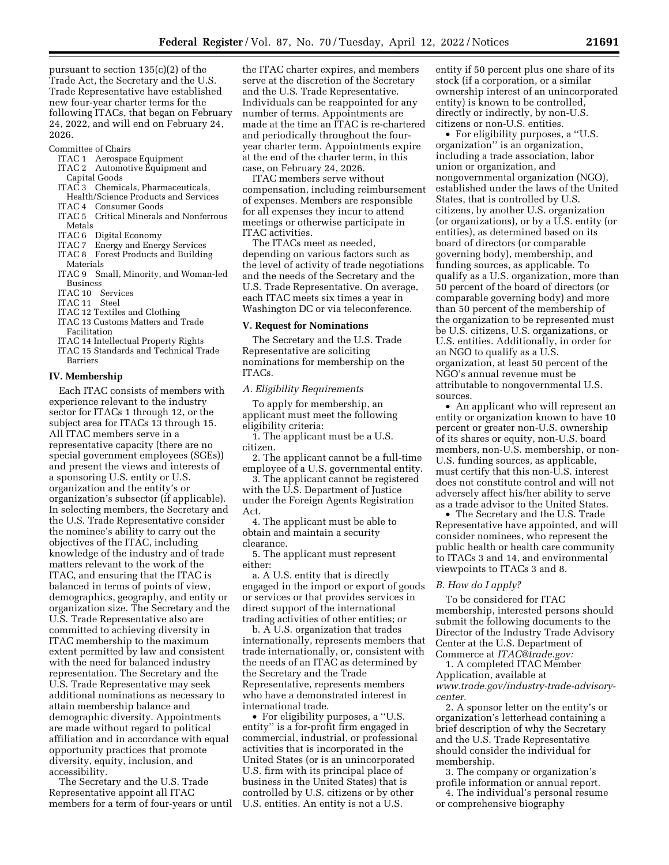pursuant to section 135(c)(2) of the Trade Act, the Secretary and the U.S. Trade Representative have established new four-year charter terms for the following ITACs, that began on February 24, 2022, and will end on February 24, 2026.

- Committee of Chairs
	- ITAC 1 Aerospace Equipment ITAC 2 Automotive Equipment and Capital Goods
	- ITAC 3 Chemicals, Pharmaceuticals, Health/Science Products and Services
	- ITAC 4 Consumer Goods
	- ITAC 5 Critical Minerals and Nonferrous Metals
	-
	- ITAC 6 Digital Economy<br>ITAC 7 Energy and Energ Energy and Energy Services
	- ITAC 8 Forest Products and Building Materials
	- ITAC 9 Small, Minority, and Woman-led Business
	- ITAC 10 Services
	- ITAC 11 Steel
	- ITAC 12 Textiles and Clothing
	- ITAC 13 Customs Matters and Trade Facilitation
	- ITAC 14 Intellectual Property Rights
	- ITAC 15 Standards and Technical Trade Barriers

# **IV. Membership**

Each ITAC consists of members with experience relevant to the industry sector for ITACs 1 through 12, or the subject area for ITACs 13 through 15. All ITAC members serve in a representative capacity (there are no special government employees (SGEs)) and present the views and interests of a sponsoring U.S. entity or U.S. organization and the entity's or organization's subsector (if applicable). In selecting members, the Secretary and the U.S. Trade Representative consider the nominee's ability to carry out the objectives of the ITAC, including knowledge of the industry and of trade matters relevant to the work of the ITAC, and ensuring that the ITAC is balanced in terms of points of view, demographics, geography, and entity or organization size. The Secretary and the U.S. Trade Representative also are committed to achieving diversity in ITAC membership to the maximum extent permitted by law and consistent with the need for balanced industry representation. The Secretary and the U.S. Trade Representative may seek additional nominations as necessary to attain membership balance and demographic diversity. Appointments are made without regard to political affiliation and in accordance with equal opportunity practices that promote diversity, equity, inclusion, and accessibility.

The Secretary and the U.S. Trade Representative appoint all ITAC members for a term of four-years or until

the ITAC charter expires, and members serve at the discretion of the Secretary and the U.S. Trade Representative. Individuals can be reappointed for any number of terms. Appointments are made at the time an ITAC is re-chartered and periodically throughout the fouryear charter term. Appointments expire at the end of the charter term, in this case, on February 24, 2026.

ITAC members serve without compensation, including reimbursement of expenses. Members are responsible for all expenses they incur to attend meetings or otherwise participate in ITAC activities.

The ITACs meet as needed, depending on various factors such as the level of activity of trade negotiations and the needs of the Secretary and the U.S. Trade Representative. On average, each ITAC meets six times a year in Washington DC or via teleconference.

## **V. Request for Nominations**

The Secretary and the U.S. Trade Representative are soliciting nominations for membership on the ITACs.

#### *A. Eligibility Requirements*

To apply for membership, an applicant must meet the following eligibility criteria:

1. The applicant must be a U.S. citizen.

2. The applicant cannot be a full-time employee of a U.S. governmental entity.

3. The applicant cannot be registered with the U.S. Department of Justice under the Foreign Agents Registration Act.

4. The applicant must be able to obtain and maintain a security clearance.

5. The applicant must represent either:

a. A U.S. entity that is directly engaged in the import or export of goods or services or that provides services in direct support of the international trading activities of other entities; or

b. A U.S. organization that trades internationally, represents members that trade internationally, or, consistent with the needs of an ITAC as determined by the Secretary and the Trade Representative, represents members who have a demonstrated interest in international trade.

• For eligibility purposes, a "U.S. entity'' is a for-profit firm engaged in commercial, industrial, or professional activities that is incorporated in the United States (or is an unincorporated U.S. firm with its principal place of business in the United States) that is controlled by U.S. citizens or by other U.S. entities. An entity is not a U.S.

entity if 50 percent plus one share of its stock (if a corporation, or a similar ownership interest of an unincorporated entity) is known to be controlled, directly or indirectly, by non-U.S. citizens or non-U.S. entities.

• For eligibility purposes, a "U.S. organization'' is an organization, including a trade association, labor union or organization, and nongovernmental organization (NGO), established under the laws of the United States, that is controlled by U.S. citizens, by another U.S. organization (or organizations), or by a U.S. entity (or entities), as determined based on its board of directors (or comparable governing body), membership, and funding sources, as applicable. To qualify as a U.S. organization, more than 50 percent of the board of directors (or comparable governing body) and more than 50 percent of the membership of the organization to be represented must be U.S. citizens, U.S. organizations, or U.S. entities. Additionally, in order for an NGO to qualify as a U.S. organization, at least 50 percent of the NGO's annual revenue must be attributable to nongovernmental U.S. sources.

• An applicant who will represent an entity or organization known to have 10 percent or greater non-U.S. ownership of its shares or equity, non-U.S. board members, non-U.S. membership, or non-U.S. funding sources, as applicable, must certify that this non-U.S. interest does not constitute control and will not adversely affect his/her ability to serve as a trade advisor to the United States.

• The Secretary and the U.S. Trade Representative have appointed, and will consider nominees, who represent the public health or health care community to ITACs 3 and 14, and environmental viewpoints to ITACs 3 and 8.

#### *B. How do I apply?*

To be considered for ITAC membership, interested persons should submit the following documents to the Director of the Industry Trade Advisory Center at the U.S. Department of Commerce at *[ITAC@trade.gov:](mailto:ITAC@trade.gov)* 

1. A completed ITAC Member Application, available at *[www.trade.gov/industry-trade-advisory](http://www.trade.gov/industry-trade-advisory-center)[center.](http://www.trade.gov/industry-trade-advisory-center)* 

2. A sponsor letter on the entity's or organization's letterhead containing a brief description of why the Secretary and the U.S. Trade Representative should consider the individual for membership.

3. The company or organization's profile information or annual report.

4. The individual's personal resume or comprehensive biography